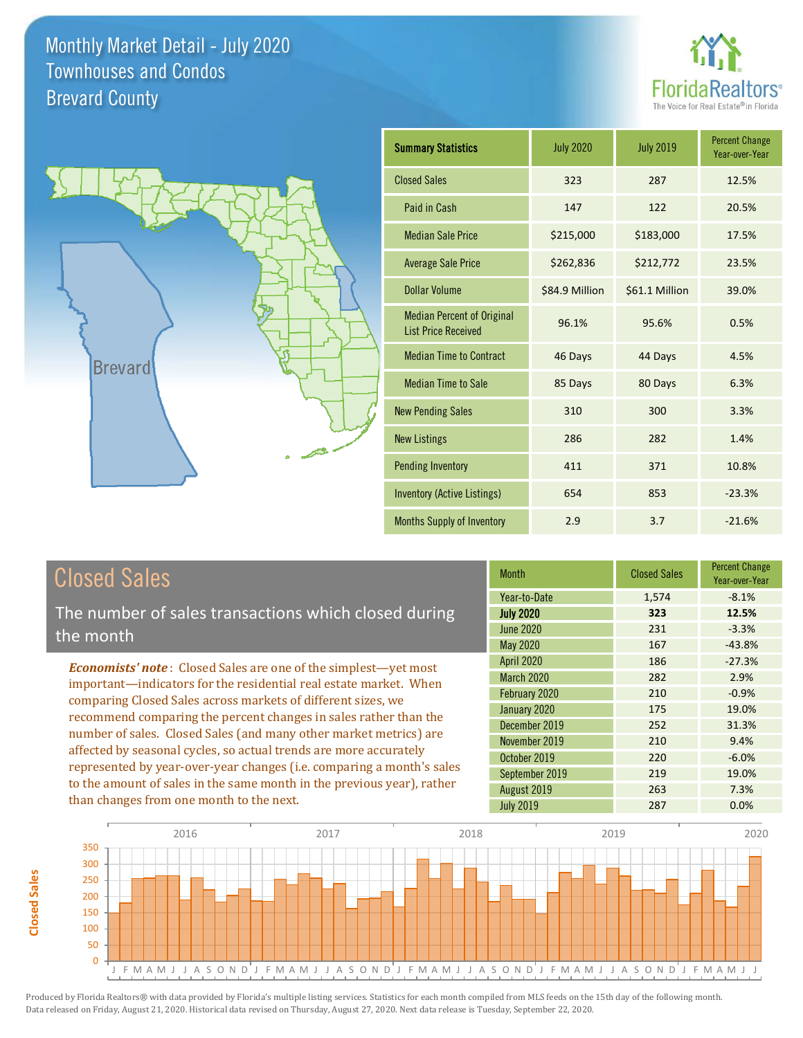



| <b>Summary Statistics</b>                                       | <b>July 2020</b> | <b>July 2019</b> | <b>Percent Change</b><br>Year-over-Year |
|-----------------------------------------------------------------|------------------|------------------|-----------------------------------------|
| <b>Closed Sales</b>                                             | 323              | 287              | 12.5%                                   |
| Paid in Cash                                                    | 147              | 122              | 20.5%                                   |
| <b>Median Sale Price</b>                                        | \$215,000        | \$183,000        | 17.5%                                   |
| <b>Average Sale Price</b>                                       | \$262,836        | \$212,772        | 23.5%                                   |
| Dollar Volume                                                   | \$84.9 Million   | \$61.1 Million   | 39.0%                                   |
| <b>Median Percent of Original</b><br><b>List Price Received</b> | 96.1%            | 95.6%            | 0.5%                                    |
| <b>Median Time to Contract</b>                                  | 46 Days          | 44 Days          | 4.5%                                    |
| <b>Median Time to Sale</b>                                      | 85 Days          | 80 Days          | 6.3%                                    |
| <b>New Pending Sales</b>                                        | 310              | 300              | 3.3%                                    |
| <b>New Listings</b>                                             | 286              | 282              | 1.4%                                    |
| <b>Pending Inventory</b>                                        | 411              | 371              | 10.8%                                   |
| Inventory (Active Listings)                                     | 654              | 853              | $-23.3%$                                |
| <b>Months Supply of Inventory</b>                               | 2.9              | 3.7              | $-21.6%$                                |

# Closed Sales

The number of sales transactions which closed during the month

*Economists' note* : Closed Sales are one of the simplest—yet most important—indicators for the residential real estate market. When comparing Closed Sales across markets of different sizes, we recommend comparing the percent changes in sales rather than the number of sales. Closed Sales (and many other market metrics) are affected by seasonal cycles, so actual trends are more accurately represented by year-over-year changes (i.e. comparing a month's sales to the amount of sales in the same month in the previous year), rather than changes from one month to the next.

| <b>Month</b>      | <b>Closed Sales</b> | <b>Percent Change</b><br>Year-over-Year |
|-------------------|---------------------|-----------------------------------------|
| Year-to-Date      | 1,574               | $-8.1%$                                 |
| <b>July 2020</b>  | 323                 | 12.5%                                   |
| June 2020         | 231                 | $-3.3%$                                 |
| May 2020          | 167                 | $-43.8%$                                |
| <b>April 2020</b> | 186                 | $-27.3%$                                |
| <b>March 2020</b> | 282                 | 2.9%                                    |
| February 2020     | 210                 | $-0.9%$                                 |
| January 2020      | 175                 | 19.0%                                   |
| December 2019     | 252                 | 31.3%                                   |
| November 2019     | 210                 | 9.4%                                    |
| October 2019      | 220                 | $-6.0%$                                 |
| September 2019    | 219                 | 19.0%                                   |
| August 2019       | 263                 | 7.3%                                    |
| <b>July 2019</b>  | 287                 | 0.0%                                    |

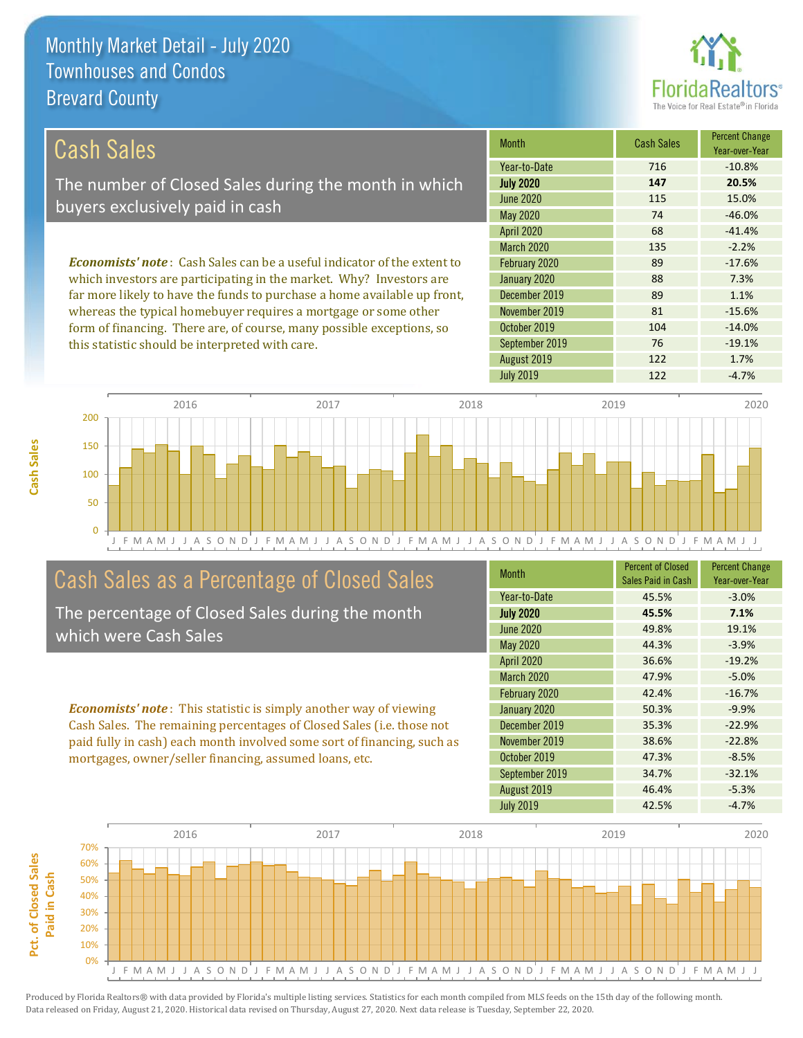

104 -14.0%

76 -19.1%

| Cash Sales                                                                      | <b>Month</b>      | <b>Cash Sales</b> | <b>Percent Change</b><br>Year-over-Year |
|---------------------------------------------------------------------------------|-------------------|-------------------|-----------------------------------------|
|                                                                                 | Year-to-Date      | 716               | $-10.8%$                                |
| The number of Closed Sales during the month in which                            | <b>July 2020</b>  | 147               | 20.5%                                   |
| buyers exclusively paid in cash                                                 | June 2020         | 115               | 15.0%                                   |
|                                                                                 | May 2020          | 74                | $-46.0%$                                |
|                                                                                 | <b>April 2020</b> | 68                | $-41.4%$                                |
|                                                                                 | <b>March 2020</b> | 135               | $-2.2%$                                 |
| <b>Economists' note</b> : Cash Sales can be a useful indicator of the extent to | February 2020     | 89                | $-17.6%$                                |
| which investors are participating in the market. Why? Investors are             | January 2020      | 88                | 7.3%                                    |
| far more likely to have the funds to purchase a home available up front,        | December 2019     | 89                | 1.1%                                    |
| whereas the typical homebuyer requires a mortgage or some other                 | November 2019     | 81                | $-15.6%$                                |



September 2019

October 2019

### Cash Sales as a Percentage of Closed Sales

form of financing. There are, of course, many possible exceptions, so

this statistic should be interpreted with care.

The percentage of Closed Sales during the month which were Cash Sales

*Economists' note* : This statistic is simply another way of viewing Cash Sales. The remaining percentages of Closed Sales (i.e. those not paid fully in cash) each month involved some sort of financing, such as mortgages, owner/seller financing, assumed loans, etc.

| <b>Month</b>      | <b>Percent of Closed</b><br>Sales Paid in Cash | <b>Percent Change</b><br>Year-over-Year |
|-------------------|------------------------------------------------|-----------------------------------------|
| Year-to-Date      | 45.5%                                          | $-3.0%$                                 |
| <b>July 2020</b>  | 45.5%                                          | 7.1%                                    |
| <b>June 2020</b>  | 49.8%                                          | 19.1%                                   |
| May 2020          | 44.3%                                          | $-3.9%$                                 |
| <b>April 2020</b> | 36.6%                                          | $-19.2%$                                |
| <b>March 2020</b> | 47.9%                                          | $-5.0%$                                 |
| February 2020     | 42.4%                                          | $-16.7%$                                |
| January 2020      | 50.3%                                          | $-9.9%$                                 |
| December 2019     | 35.3%                                          | $-22.9%$                                |
| November 2019     | 38.6%                                          | $-22.8%$                                |
| October 2019      | 47.3%                                          | $-8.5%$                                 |
| September 2019    | 34.7%                                          | $-32.1%$                                |
| August 2019       | 46.4%                                          | $-5.3%$                                 |
| <b>July 2019</b>  | 42.5%                                          | $-4.7%$                                 |

August 2019 122 1.7%

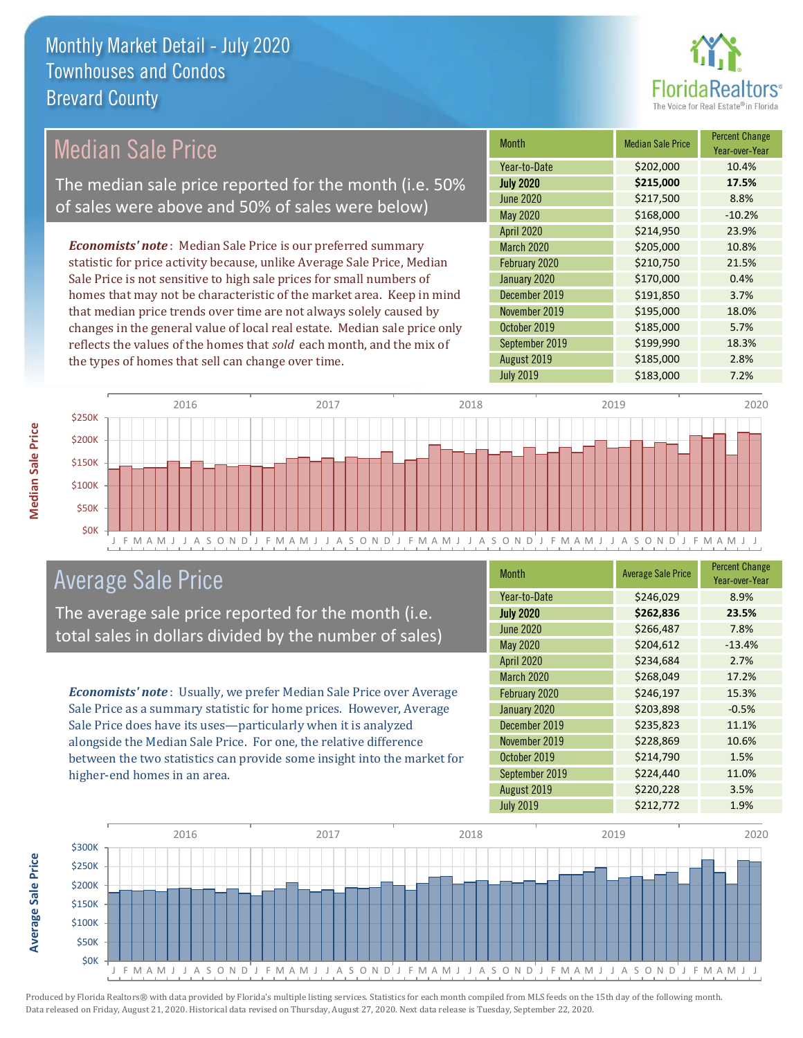

### Median Sale Price

The median sale price reported for the month (i.e. 50% of sales were above and 50% of sales were below)

*Economists' note* : Median Sale Price is our preferred summary statistic for price activity because, unlike Average Sale Price, Median Sale Price is not sensitive to high sale prices for small numbers of homes that may not be characteristic of the market area. Keep in mind that median price trends over time are not always solely caused by changes in the general value of local real estate. Median sale price only reflects the values of the homes that *sold* each month, and the mix of the types of homes that sell can change over time.

| <b>Month</b>      | <b>Median Sale Price</b> | <b>Percent Change</b><br>Year-over-Year |
|-------------------|--------------------------|-----------------------------------------|
| Year-to-Date      | \$202,000                | 10.4%                                   |
| <b>July 2020</b>  | \$215,000                | 17.5%                                   |
| <b>June 2020</b>  | \$217,500                | 8.8%                                    |
| <b>May 2020</b>   | \$168,000                | $-10.2%$                                |
| April 2020        | \$214,950                | 23.9%                                   |
| <b>March 2020</b> | \$205,000                | 10.8%                                   |
| February 2020     | \$210,750                | 21.5%                                   |
| January 2020      | \$170,000                | 0.4%                                    |
| December 2019     | \$191,850                | 3.7%                                    |
| November 2019     | \$195,000                | 18.0%                                   |
| October 2019      | \$185,000                | 5.7%                                    |
| September 2019    | \$199,990                | 18.3%                                   |
| August 2019       | \$185,000                | 2.8%                                    |
| <b>July 2019</b>  | \$183,000                | 7.2%                                    |



### Average Sale Price

The average sale price reported for the month (i.e. total sales in dollars divided by the number of sales)

*Economists' note* : Usually, we prefer Median Sale Price over Average Sale Price as a summary statistic for home prices. However, Average Sale Price does have its uses—particularly when it is analyzed alongside the Median Sale Price. For one, the relative difference between the two statistics can provide some insight into the market for higher-end homes in an area.

| <b>Month</b>     | <b>Average Sale Price</b> | <b>Percent Change</b><br>Year-over-Year |
|------------------|---------------------------|-----------------------------------------|
| Year-to-Date     | \$246,029                 | 8.9%                                    |
| <b>July 2020</b> | \$262,836                 | 23.5%                                   |
| <b>June 2020</b> | \$266,487                 | 7.8%                                    |
| May 2020         | \$204,612                 | $-13.4%$                                |
| April 2020       | \$234,684                 | 2.7%                                    |
| March 2020       | \$268,049                 | 17.2%                                   |
| February 2020    | \$246,197                 | 15.3%                                   |
| January 2020     | \$203,898                 | $-0.5%$                                 |
| December 2019    | \$235,823                 | 11.1%                                   |
| November 2019    | \$228,869                 | 10.6%                                   |
| October 2019     | \$214,790                 | 1.5%                                    |
| September 2019   | \$224,440                 | 11.0%                                   |
| August 2019      | \$220,228                 | 3.5%                                    |
| <b>July 2019</b> | \$212,772                 | 1.9%                                    |



Produced by Florida Realtors® with data provided by Florida's multiple listing services. Statistics for each month compiled from MLS feeds on the 15th day of the following month. Data released on Friday, August 21, 2020. Historical data revised on Thursday, August 27, 2020. Next data release is Tuesday, September 22, 2020.

**Average Sale Price**

Average Sale Price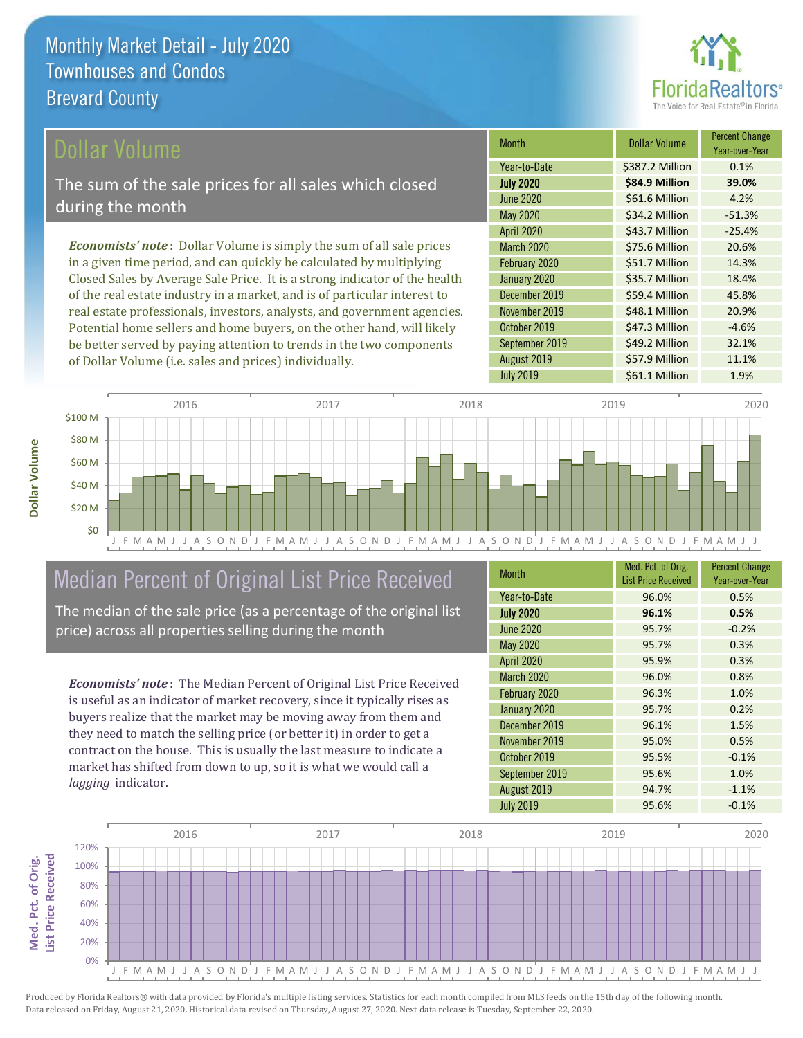

### ollar Volume

The sum of the sale prices for all sales which closed during the month

*Economists' note* : Dollar Volume is simply the sum of all sale prices in a given time period, and can quickly be calculated by multiplying Closed Sales by Average Sale Price. It is a strong indicator of the health of the real estate industry in a market, and is of particular interest to real estate professionals, investors, analysts, and government agencies. Potential home sellers and home buyers, on the other hand, will likely be better served by paying attention to trends in the two components of Dollar Volume (i.e. sales and prices) individually.

| <b>Month</b>      | Dollar Volume   | <b>Percent Change</b><br>Year-over-Year |
|-------------------|-----------------|-----------------------------------------|
| Year-to-Date      | \$387.2 Million | 0.1%                                    |
| <b>July 2020</b>  | \$84.9 Million  | 39.0%                                   |
| <b>June 2020</b>  | \$61.6 Million  | 4.2%                                    |
| <b>May 2020</b>   | \$34.2 Million  | $-51.3%$                                |
| <b>April 2020</b> | \$43.7 Million  | $-25.4%$                                |
| <b>March 2020</b> | \$75.6 Million  | 20.6%                                   |
| February 2020     | \$51.7 Million  | 14.3%                                   |
| January 2020      | \$35.7 Million  | 18.4%                                   |
| December 2019     | \$59.4 Million  | 45.8%                                   |
| November 2019     | \$48.1 Million  | 20.9%                                   |
| October 2019      | \$47.3 Million  | $-4.6%$                                 |
| September 2019    | \$49.2 Million  | 32.1%                                   |
| August 2019       | \$57.9 Million  | 11.1%                                   |
| <b>July 2019</b>  | \$61.1 Million  | 1.9%                                    |



# Median Percent of Original List Price Received

The median of the sale price (as a percentage of the original list price) across all properties selling during the month

*Economists' note* : The Median Percent of Original List Price Received is useful as an indicator of market recovery, since it typically rises as buyers realize that the market may be moving away from them and they need to match the selling price (or better it) in order to get a contract on the house. This is usually the last measure to indicate a market has shifted from down to up, so it is what we would call a *lagging* indicator.

| <b>Month</b>      | Med. Pct. of Orig.<br><b>List Price Received</b> | <b>Percent Change</b><br>Year-over-Year |
|-------------------|--------------------------------------------------|-----------------------------------------|
| Year-to-Date      | 96.0%                                            | 0.5%                                    |
| <b>July 2020</b>  | 96.1%                                            | 0.5%                                    |
| June 2020         | 95.7%                                            | $-0.2%$                                 |
| <b>May 2020</b>   | 95.7%                                            | 0.3%                                    |
| April 2020        | 95.9%                                            | 0.3%                                    |
| <b>March 2020</b> | 96.0%                                            | 0.8%                                    |
| February 2020     | 96.3%                                            | 1.0%                                    |
| January 2020      | 95.7%                                            | 0.2%                                    |
| December 2019     | 96.1%                                            | 1.5%                                    |
| November 2019     | 95.0%                                            | 0.5%                                    |
| October 2019      | 95.5%                                            | $-0.1%$                                 |
| September 2019    | 95.6%                                            | 1.0%                                    |
| August 2019       | 94.7%                                            | $-1.1%$                                 |
| <b>July 2019</b>  | 95.6%                                            | $-0.1%$                                 |

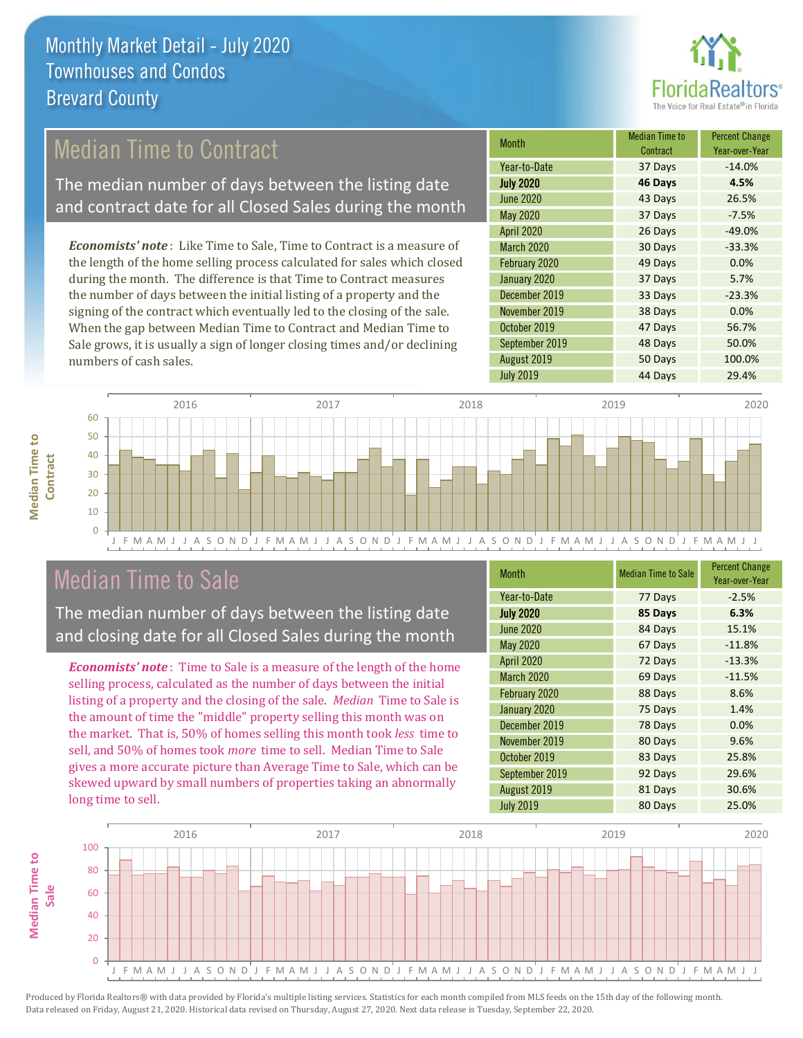

### Median Time to Contract

The median number of days between the listing date and contract date for all Closed Sales during the month

*Economists' note* : Like Time to Sale, Time to Contract is a measure of the length of the home selling process calculated for sales which closed during the month. The difference is that Time to Contract measures the number of days between the initial listing of a property and the signing of the contract which eventually led to the closing of the sale. When the gap between Median Time to Contract and Median Time to Sale grows, it is usually a sign of longer closing times and/or declining numbers of cash sales.

| <b>Month</b>      | <b>Median Time to</b><br>Contract | <b>Percent Change</b><br>Year-over-Year |
|-------------------|-----------------------------------|-----------------------------------------|
| Year-to-Date      | 37 Days                           | $-14.0%$                                |
| <b>July 2020</b>  | 46 Days                           | 4.5%                                    |
| <b>June 2020</b>  | 43 Days                           | 26.5%                                   |
| <b>May 2020</b>   | 37 Days                           | $-7.5%$                                 |
| <b>April 2020</b> | 26 Days                           | $-49.0%$                                |
| <b>March 2020</b> | 30 Days                           | $-33.3%$                                |
| February 2020     | 49 Days                           | 0.0%                                    |
| January 2020      | 37 Days                           | 5.7%                                    |
| December 2019     | 33 Days                           | $-23.3%$                                |
| November 2019     | 38 Days                           | 0.0%                                    |
| October 2019      | 47 Days                           | 56.7%                                   |
| September 2019    | 48 Days                           | 50.0%                                   |
| August 2019       | 50 Days                           | 100.0%                                  |
| <b>July 2019</b>  | 44 Days                           | 29.4%                                   |



### Median Time to Sale

**Median Time to** 

**Median Time to** 

The median number of days between the listing date and closing date for all Closed Sales during the month

*Economists' note* : Time to Sale is a measure of the length of the home selling process, calculated as the number of days between the initial listing of a property and the closing of the sale. *Median* Time to Sale is the amount of time the "middle" property selling this month was on the market. That is, 50% of homes selling this month took *less* time to sell, and 50% of homes took *more* time to sell. Median Time to Sale gives a more accurate picture than Average Time to Sale, which can be skewed upward by small numbers of properties taking an abnormally long time to sell.

| <b>Month</b>      | <b>Median Time to Sale</b> | <b>Percent Change</b><br>Year-over-Year |
|-------------------|----------------------------|-----------------------------------------|
| Year-to-Date      | 77 Days                    | $-2.5%$                                 |
| <b>July 2020</b>  | 85 Days                    | 6.3%                                    |
| <b>June 2020</b>  | 84 Days                    | 15.1%                                   |
| <b>May 2020</b>   | 67 Days                    | $-11.8%$                                |
| <b>April 2020</b> | 72 Days                    | $-13.3%$                                |
| March 2020        | 69 Days                    | $-11.5%$                                |
| February 2020     | 88 Days                    | 8.6%                                    |
| January 2020      | 75 Days                    | 1.4%                                    |
| December 2019     | 78 Days                    | 0.0%                                    |
| November 2019     | 80 Days                    | 9.6%                                    |
| October 2019      | 83 Days                    | 25.8%                                   |
| September 2019    | 92 Days                    | 29.6%                                   |
| August 2019       | 81 Days                    | 30.6%                                   |
| <b>July 2019</b>  | 80 Days                    | 25.0%                                   |

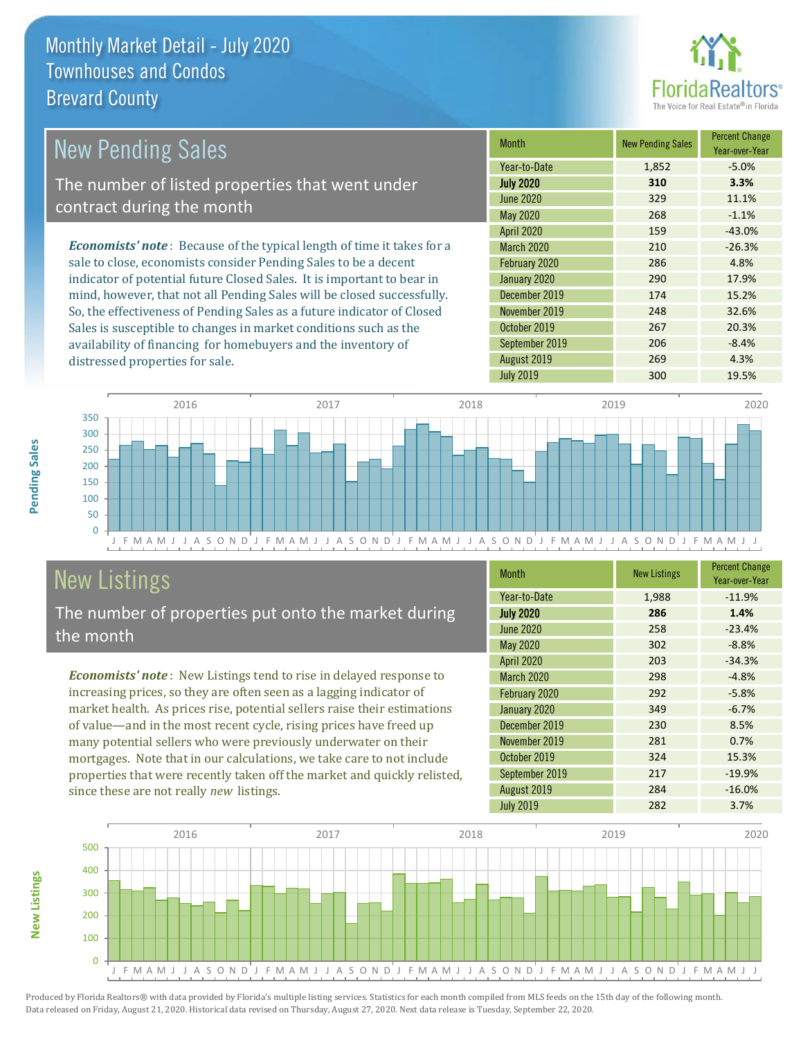distressed properties for sale.



| New Pending Sales                                                              | <b>Month</b>      | <b>New Pending Sales</b> | <b>Percent Change</b><br>Year-over-Year |
|--------------------------------------------------------------------------------|-------------------|--------------------------|-----------------------------------------|
|                                                                                | Year-to-Date      | 1,852                    | $-5.0\%$                                |
| The number of listed properties that went under                                | <b>July 2020</b>  | 310                      | 3.3%                                    |
| contract during the month                                                      | June 2020         | 329                      | 11.1%                                   |
|                                                                                | May 2020          | 268                      | $-1.1%$                                 |
|                                                                                | <b>April 2020</b> | 159                      | $-43.0%$                                |
| <b>Economists' note</b> : Because of the typical length of time it takes for a | <b>March 2020</b> | 210                      | $-26.3%$                                |
| sale to close, economists consider Pending Sales to be a decent                | February 2020     | 286                      | 4.8%                                    |
| indicator of potential future Closed Sales. It is important to bear in         | January 2020      | 290                      | 17.9%                                   |
| mind, however, that not all Pending Sales will be closed successfully.         | December 2019     | 174                      | 15.2%                                   |
| So, the effectiveness of Pending Sales as a future indicator of Closed         | November 2019     | 248                      | 32.6%                                   |

J F M A M J J A S O N D J F M A M J J A S O N D J F M A M J J A S O N D J F M A M J J A S O N D J F M A M J J  $\Omega$ 50 100 150 200 250 300 350 2016 2017 2018 2019 2020

# New Listings

**New Listings**

**Pending Sales**

Pending Sales

The number of properties put onto the market during the month

Sales is susceptible to changes in market conditions such as the availability of financing for homebuyers and the inventory of

*Economists' note* : New Listings tend to rise in delayed response to increasing prices, so they are often seen as a lagging indicator of market health. As prices rise, potential sellers raise their estimations of value—and in the most recent cycle, rising prices have freed up many potential sellers who were previously underwater on their mortgages. Note that in our calculations, we take care to not include properties that were recently taken off the market and quickly relisted, since these are not really *new* listings.

| <b>Month</b>      | <b>New Listings</b> | <b>Percent Change</b><br>Year-over-Year |
|-------------------|---------------------|-----------------------------------------|
| Year-to-Date      | 1,988               | $-11.9%$                                |
| <b>July 2020</b>  | 286                 | 1.4%                                    |
| <b>June 2020</b>  | 258                 | $-23.4%$                                |
| <b>May 2020</b>   | 302                 | $-8.8%$                                 |
| April 2020        | 203                 | $-34.3%$                                |
| <b>March 2020</b> | 298                 | $-4.8%$                                 |
| February 2020     | 292                 | $-5.8%$                                 |
| January 2020      | 349                 | $-6.7%$                                 |
| December 2019     | 230                 | 8.5%                                    |
| November 2019     | 281                 | 0.7%                                    |
| October 2019      | 324                 | 15.3%                                   |
| September 2019    | 217                 | $-19.9%$                                |
| August 2019       | 284                 | $-16.0%$                                |
| <b>July 2019</b>  | 282                 | 3.7%                                    |

October 2019 267 20.3% September 2019 **206** -8.4% August 2019 269 269 4.3% July 2019 **300** 19.5%

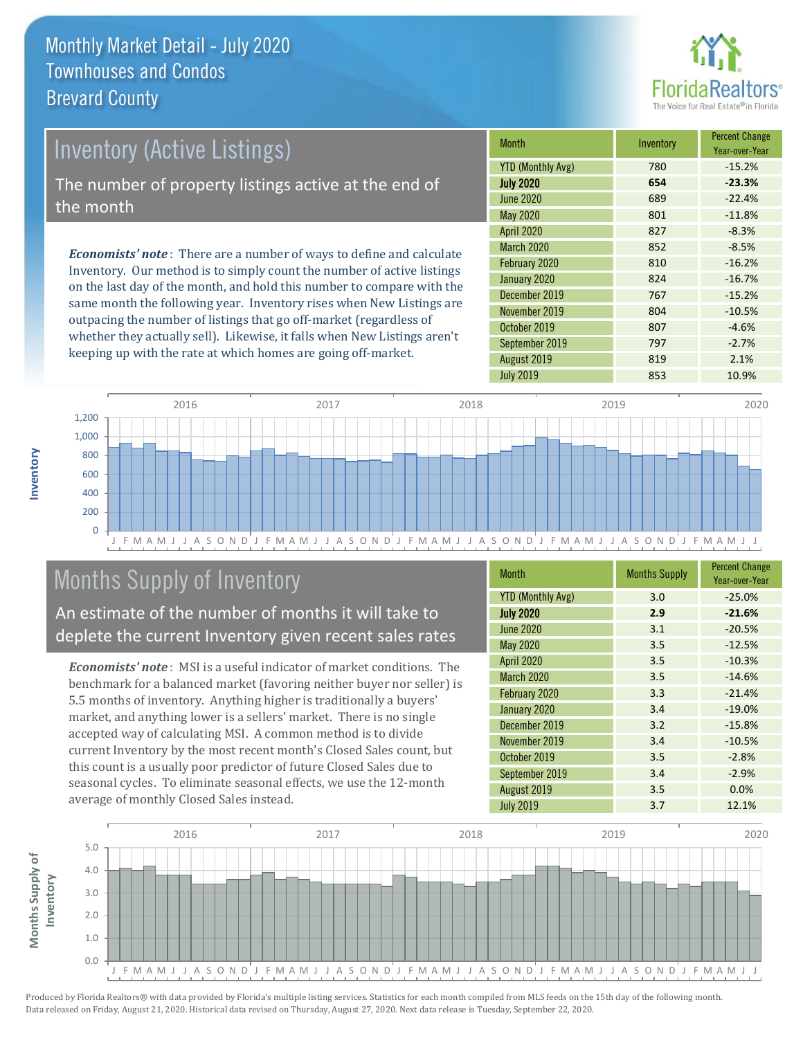

# *Economists' note* : There are a number of ways to define and calculate Inventory (Active Listings) The number of property listings active at the end of the month

Inventory. Our method is to simply count the number of active listings on the last day of the month, and hold this number to compare with the same month the following year. Inventory rises when New Listings are outpacing the number of listings that go off-market (regardless of whether they actually sell). Likewise, it falls when New Listings aren't keeping up with the rate at which homes are going off-market.

| Month                    | Inventory | <b>Percent Change</b><br>Year-over-Year |
|--------------------------|-----------|-----------------------------------------|
| <b>YTD (Monthly Avg)</b> | 780       | $-15.2%$                                |
| <b>July 2020</b>         | 654       | $-23.3%$                                |
| <b>June 2020</b>         | 689       | $-22.4%$                                |
| May 2020                 | 801       | $-11.8%$                                |
| <b>April 2020</b>        | 827       | $-8.3%$                                 |
| March 2020               | 852       | $-8.5%$                                 |
| February 2020            | 810       | $-16.2%$                                |
| January 2020             | 824       | $-16.7%$                                |
| December 2019            | 767       | $-15.2%$                                |
| November 2019            | 804       | $-10.5%$                                |
| October 2019             | 807       | $-4.6%$                                 |
| September 2019           | 797       | $-2.7%$                                 |
| August 2019              | 819       | 2.1%                                    |
| <b>July 2019</b>         | 853       | 10.9%                                   |



### Months Supply of Inventory

An estimate of the number of months it will take to deplete the current Inventory given recent sales rates

*Economists' note* : MSI is a useful indicator of market conditions. The benchmark for a balanced market (favoring neither buyer nor seller) is 5.5 months of inventory. Anything higher is traditionally a buyers' market, and anything lower is a sellers' market. There is no single accepted way of calculating MSI. A common method is to divide current Inventory by the most recent month's Closed Sales count, but this count is a usually poor predictor of future Closed Sales due to seasonal cycles. To eliminate seasonal effects, we use the 12-month average of monthly Closed Sales instead.

| <b>Month</b>             | <b>Months Supply</b> | <b>Percent Change</b><br>Year-over-Year |
|--------------------------|----------------------|-----------------------------------------|
| <b>YTD (Monthly Avg)</b> | 3.0                  | $-25.0%$                                |
| <b>July 2020</b>         | 2.9                  | $-21.6%$                                |
| <b>June 2020</b>         | 3.1                  | $-20.5%$                                |
| May 2020                 | 3.5                  | $-12.5%$                                |
| <b>April 2020</b>        | 3.5                  | $-10.3%$                                |
| March 2020               | 3.5                  | $-14.6%$                                |
| February 2020            | 3.3                  | $-21.4%$                                |
| January 2020             | 3.4                  | $-19.0%$                                |
| December 2019            | 3.2                  | $-15.8%$                                |
| November 2019            | 3.4                  | $-10.5%$                                |
| October 2019             | 3.5                  | $-2.8%$                                 |
| September 2019           | 3.4                  | $-2.9%$                                 |
| August 2019              | 3.5                  | 0.0%                                    |
| <b>July 2019</b>         | 3.7                  | 12.1%                                   |

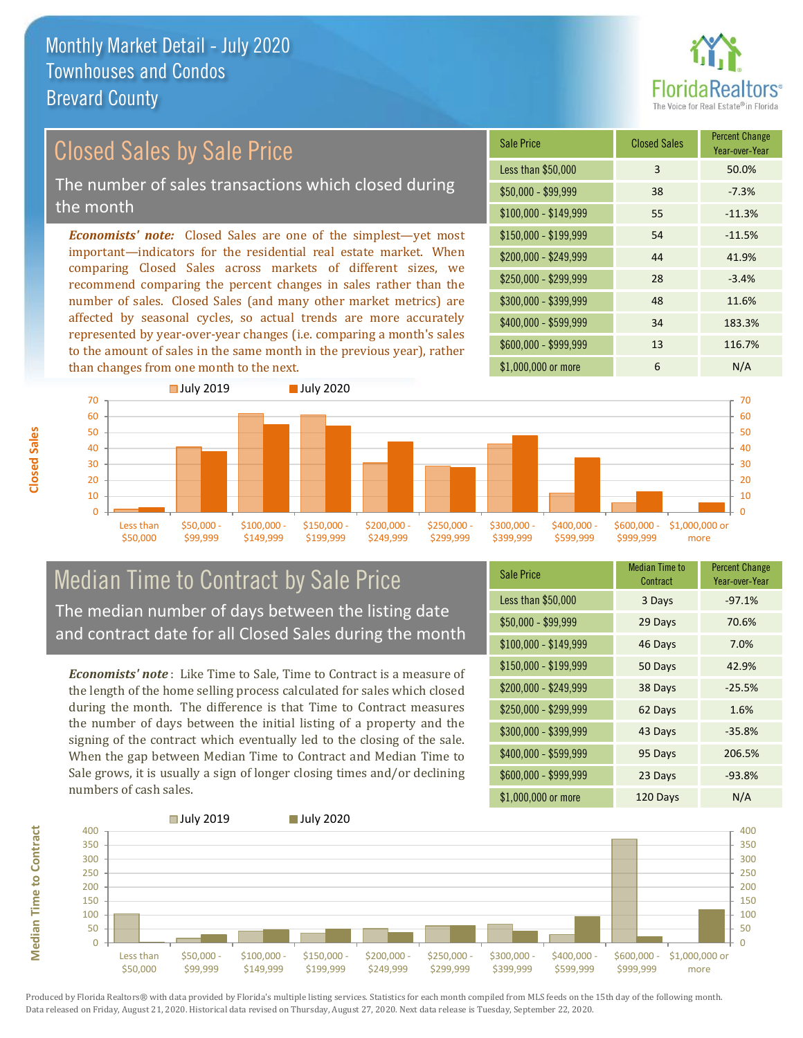

# Closed Sales by Sale Price

The number of sales transactions which closed during the month

*Economists' note:* Closed Sales are one of the simplest—yet most important—indicators for the residential real estate market. When comparing Closed Sales across markets of different sizes, we recommend comparing the percent changes in sales rather than the number of sales. Closed Sales (and many other market metrics) are affected by seasonal cycles, so actual trends are more accurately represented by year-over-year changes (i.e. comparing a month's sales to the amount of sales in the same month in the previous year), rather than changes from one month to the next.

| <b>Sale Price</b>     | <b>Closed Sales</b> | <b>Percent Change</b><br>Year-over-Year |
|-----------------------|---------------------|-----------------------------------------|
| Less than \$50,000    | 3                   | 50.0%                                   |
| $$50,000 - $99,999$   | 38                  | $-7.3%$                                 |
| $$100,000 - $149,999$ | 55                  | $-11.3%$                                |
| $$150,000 - $199,999$ | 54                  | $-11.5%$                                |
| \$200,000 - \$249,999 | 44                  | 41.9%                                   |
| \$250,000 - \$299,999 | 28                  | $-3.4%$                                 |
| \$300,000 - \$399,999 | 48                  | 11.6%                                   |
| \$400,000 - \$599,999 | 34                  | 183.3%                                  |
| \$600,000 - \$999,999 | 13                  | 116.7%                                  |
| \$1,000,000 or more   | 6                   | N/A                                     |



### Median Time to Contract by Sale Price The median number of days between the listing date and contract date for all Closed Sales during the month

*Economists' note* : Like Time to Sale, Time to Contract is a measure of the length of the home selling process calculated for sales which closed during the month. The difference is that Time to Contract measures the number of days between the initial listing of a property and the signing of the contract which eventually led to the closing of the sale. When the gap between Median Time to Contract and Median Time to Sale grows, it is usually a sign of longer closing times and/or declining numbers of cash sales.

| <b>Sale Price</b>     | <b>Median Time to</b><br>Contract | <b>Percent Change</b><br>Year-over-Year |
|-----------------------|-----------------------------------|-----------------------------------------|
| Less than \$50,000    | 3 Days                            | $-97.1%$                                |
| $$50,000 - $99,999$   | 29 Days                           | 70.6%                                   |
| $$100,000 - $149,999$ | 46 Days                           | 7.0%                                    |
| \$150,000 - \$199,999 | 50 Days                           | 42.9%                                   |
| \$200,000 - \$249,999 | 38 Days                           | $-25.5%$                                |
| \$250,000 - \$299,999 | 62 Days                           | 1.6%                                    |
| \$300,000 - \$399,999 | 43 Days                           | $-35.8%$                                |
| \$400,000 - \$599,999 | 95 Days                           | 206.5%                                  |
| \$600,000 - \$999,999 | 23 Days                           | $-93.8%$                                |
| \$1,000,000 or more   | 120 Days                          | N/A                                     |

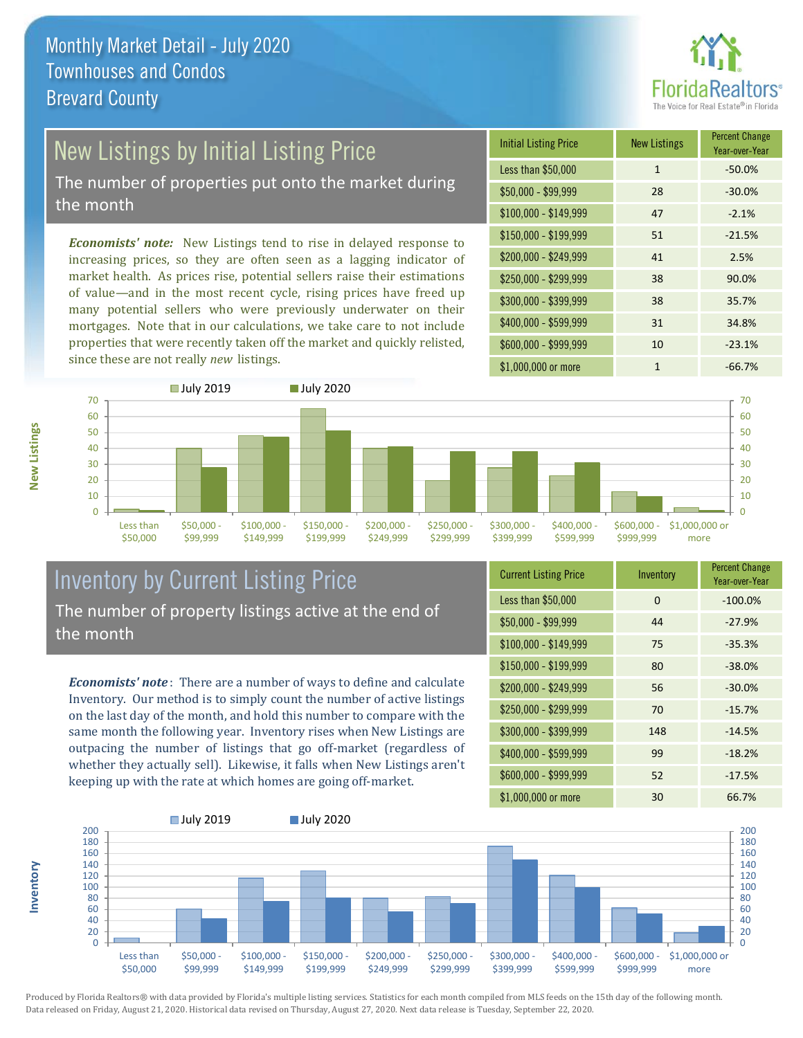

# New Listings by Initial Listing Price

The number of properties put onto the market during the month

*Economists' note:* New Listings tend to rise in delayed response to increasing prices, so they are often seen as a lagging indicator of market health. As prices rise, potential sellers raise their estimations of value—and in the most recent cycle, rising prices have freed up many potential sellers who were previously underwater on their mortgages. Note that in our calculations, we take care to not include properties that were recently taken off the market and quickly relisted, since these are not really *new* listings.

| <b>Initial Listing Price</b> | <b>New Listings</b> | <b>Percent Change</b><br>Year-over-Year |
|------------------------------|---------------------|-----------------------------------------|
| Less than \$50,000           | $\mathbf{1}$        | $-50.0%$                                |
| $$50,000 - $99,999$          | 28                  | $-30.0%$                                |
| $$100,000 - $149,999$        | 47                  | $-2.1%$                                 |
| $$150,000 - $199,999$        | 51                  | $-21.5%$                                |
| \$200,000 - \$249,999        | 41                  | 2.5%                                    |
| \$250,000 - \$299,999        | 38                  | 90.0%                                   |
| \$300,000 - \$399,999        | 38                  | 35.7%                                   |
| \$400,000 - \$599,999        | 31                  | 34.8%                                   |
| \$600,000 - \$999,999        | 10                  | $-23.1%$                                |
| \$1,000,000 or more          | 1                   | $-66.7%$                                |



### Inventory by Current Listing Price The number of property listings active at the end of the month

*Economists' note* : There are a number of ways to define and calculate Inventory. Our method is to simply count the number of active listings on the last day of the month, and hold this number to compare with the same month the following year. Inventory rises when New Listings are outpacing the number of listings that go off-market (regardless of whether they actually sell). Likewise, it falls when New Listings aren't keeping up with the rate at which homes are going off-market.

| <b>Current Listing Price</b> | Inventory | <b>Percent Change</b><br>Year-over-Year |
|------------------------------|-----------|-----------------------------------------|
| Less than \$50,000           | $\Omega$  | $-100.0%$                               |
| $$50,000 - $99,999$          | 44        | $-27.9%$                                |
| $$100,000 - $149,999$        | 75        | $-35.3%$                                |
| $$150,000 - $199,999$        | 80        | $-38.0%$                                |
| \$200,000 - \$249,999        | 56        | $-30.0%$                                |
| \$250,000 - \$299,999        | 70        | $-15.7%$                                |
| \$300,000 - \$399,999        | 148       | $-14.5%$                                |
| \$400,000 - \$599,999        | 99        | $-18.2%$                                |
| \$600,000 - \$999,999        | 52        | $-17.5%$                                |
| \$1,000,000 or more          | 30        | 66.7%                                   |



Produced by Florida Realtors® with data provided by Florida's multiple listing services. Statistics for each month compiled from MLS feeds on the 15th day of the following month. Data released on Friday, August 21, 2020. Historical data revised on Thursday, August 27, 2020. Next data release is Tuesday, September 22, 2020.

**Inventory**